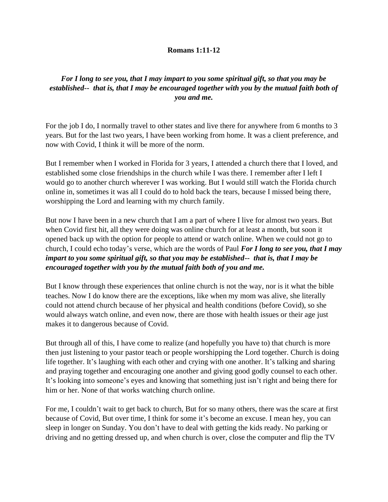## **Romans 1:11-12**

## *For I long to see you, that I may impart to you some spiritual gift, so that you may be established-- that is, that I may be encouraged together with you by the mutual faith both of you and me.*

For the job I do, I normally travel to other states and live there for anywhere from 6 months to 3 years. But for the last two years, I have been working from home. It was a client preference, and now with Covid, I think it will be more of the norm.

But I remember when I worked in Florida for 3 years, I attended a church there that I loved, and established some close friendships in the church while I was there. I remember after I left I would go to another church wherever I was working. But I would still watch the Florida church online in, sometimes it was all I could do to hold back the tears, because I missed being there, worshipping the Lord and learning with my church family.

But now I have been in a new church that I am a part of where I live for almost two years. But when Covid first hit, all they were doing was online church for at least a month, but soon it opened back up with the option for people to attend or watch online. When we could not go to church, I could echo today's verse, which are the words of Paul *For I long to see you, that I may impart to you some spiritual gift, so that you may be established-- that is, that I may be encouraged together with you by the mutual faith both of you and me.*

But I know through these experiences that online church is not the way, nor is it what the bible teaches. Now I do know there are the exceptions, like when my mom was alive, she literally could not attend church because of her physical and health conditions (before Covid), so she would always watch online, and even now, there are those with health issues or their age just makes it to dangerous because of Covid.

But through all of this, I have come to realize (and hopefully you have to) that church is more then just listening to your pastor teach or people worshipping the Lord together. Church is doing life together. It's laughing with each other and crying with one another. It's talking and sharing and praying together and encouraging one another and giving good godly counsel to each other. It's looking into someone's eyes and knowing that something just isn't right and being there for him or her. None of that works watching church online.

For me, I couldn't wait to get back to church, But for so many others, there was the scare at first because of Covid, But over time, I think for some it's become an excuse. I mean hey, you can sleep in longer on Sunday. You don't have to deal with getting the kids ready. No parking or driving and no getting dressed up, and when church is over, close the computer and flip the TV